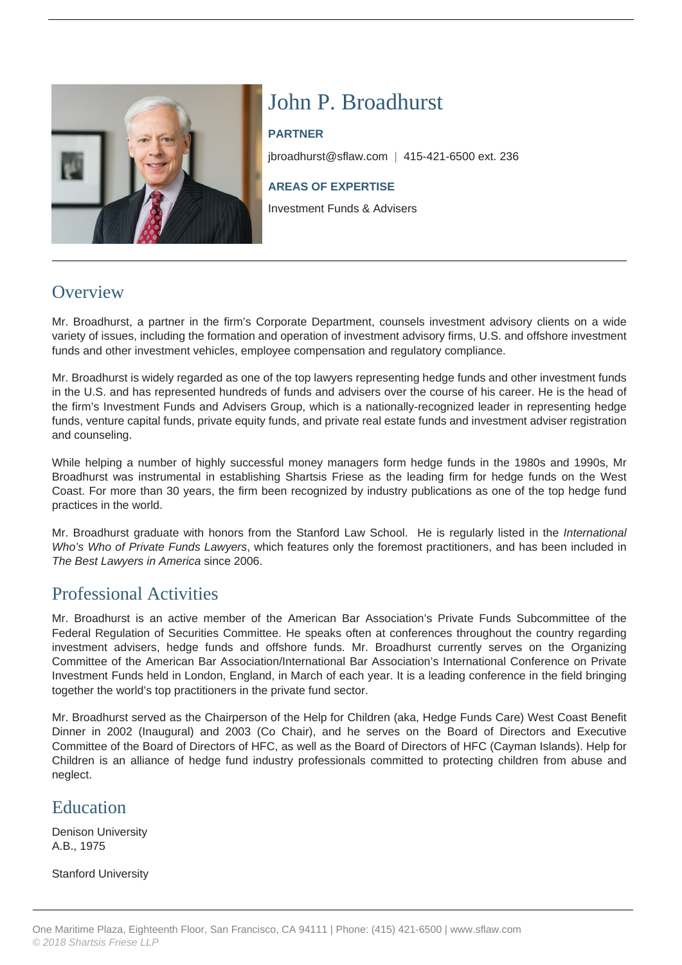

# John P. Broadhurst

#### **PARTNER**

jbroadhurst@sflaw.com | 415-421-6500 ext. 236

#### **AREAS OF EXPERTISE**

Investment Funds & Advisers

### **Overview**

Mr. Broadhurst, a partner in the firm's Corporate Department, counsels investment advisory clients on a wide variety of issues, including the formation and operation of investment advisory firms, U.S. and offshore investment funds and other investment vehicles, employee compensation and regulatory compliance.

Mr. Broadhurst is widely regarded as one of the top lawyers representing hedge funds and other investment funds in the U.S. and has represented hundreds of funds and advisers over the course of his career. He is the head of the firm's Investment Funds and Advisers Group, which is a nationally-recognized leader in representing hedge funds, venture capital funds, private equity funds, and private real estate funds and investment adviser registration and counseling.

While helping a number of highly successful money managers form hedge funds in the 1980s and 1990s, Mr Broadhurst was instrumental in establishing Shartsis Friese as the leading firm for hedge funds on the West Coast. For more than 30 years, the firm been recognized by industry publications as one of the top hedge fund practices in the world.

Mr. Broadhurst graduate with honors from the Stanford Law School. He is regularly listed in the International Who's Who of Private Funds Lawyers, which features only the foremost practitioners, and has been included in The Best Lawyers in America since 2006.

### Professional Activities

Mr. Broadhurst is an active member of the American Bar Association's Private Funds Subcommittee of the Federal Regulation of Securities Committee. He speaks often at conferences throughout the country regarding investment advisers, hedge funds and offshore funds. Mr. Broadhurst currently serves on the Organizing Committee of the American Bar Association/International Bar Association's International Conference on Private Investment Funds held in London, England, in March of each year. It is a leading conference in the field bringing together the world's top practitioners in the private fund sector.

Mr. Broadhurst served as the Chairperson of the Help for Children (aka, Hedge Funds Care) West Coast Benefit Dinner in 2002 (Inaugural) and 2003 (Co Chair), and he serves on the Board of Directors and Executive Committee of the Board of Directors of HFC, as well as the Board of Directors of HFC (Cayman Islands). Help for Children is an alliance of hedge fund industry professionals committed to protecting children from abuse and neglect.

### Education

Denison University A.B., 1975

Stanford University